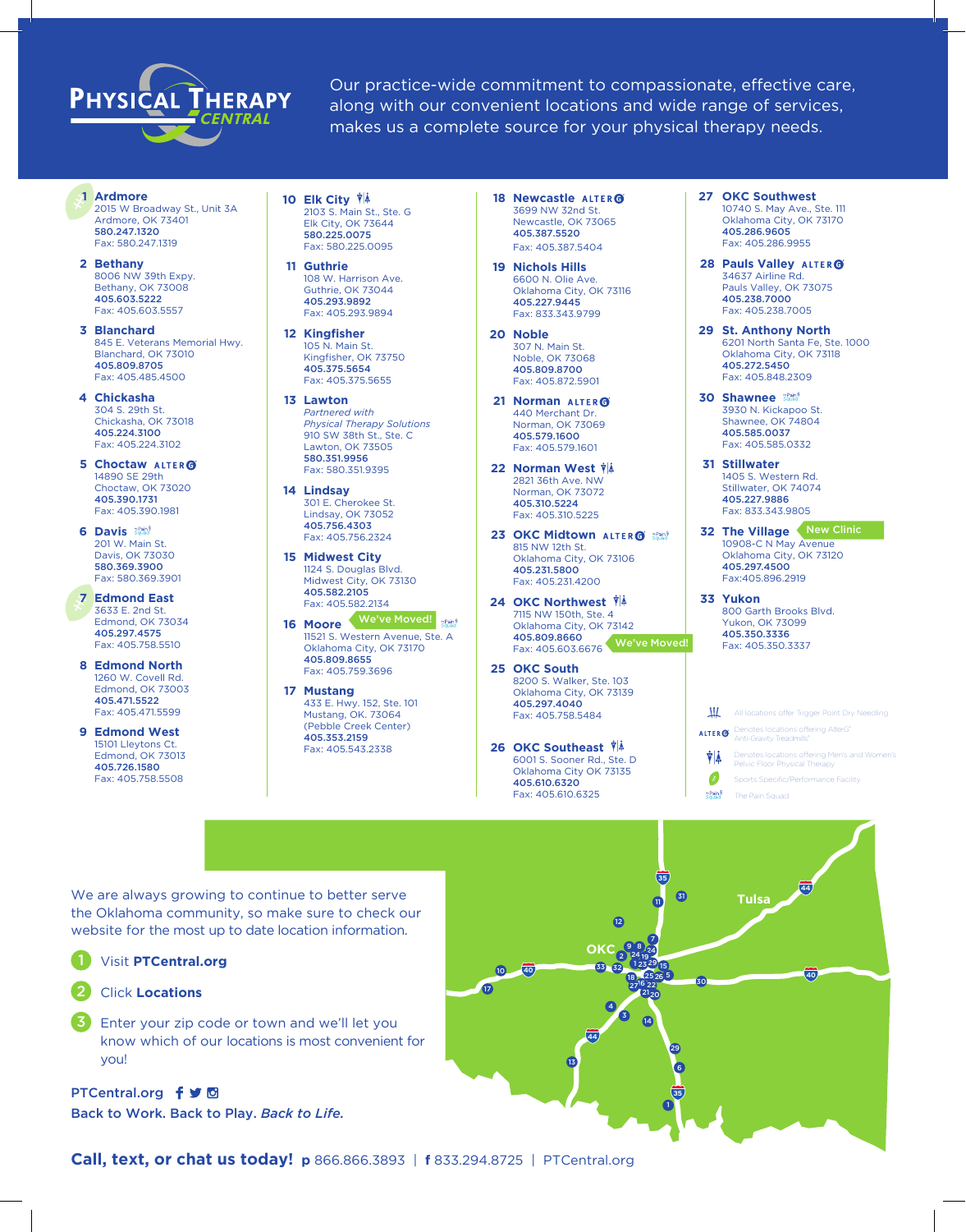## PHYSICAL THERAPY

Our practice-wide commitment to compassionate, effective care, along with our convenient locations and wide range of services, makes us a complete source for your physical therapy needs.

**1 Ardmore** 2015 W Broadway St., Unit 3A Ardmore, OK 73401 580.247.1320

**2 Bethany** 8006 NW 39th Expy. Bethany, OK 73008 405.603.5222 Fax: 405.603.5557

Fax: 580.247.1319

**3 Blanchard** 845 E. Veterans Memorial Hwy. Blanchard, OK 73010 405.809.8705 Fax: 405.485.4500

**4 Chickasha** 304 S. 29th St. Chickasha, OK 73018 405.224.3100 Fax: 405.224.3102

**5 Choctaw**  14890 SE 29th Choctaw, OK 73020 405.390.1731 Fax: 405.390.1981

**6 Davis**  201 W. Main St. Davis, OK 73030 580.369.3900 Fax: 580.369.3901

**7 Edmond East** 3633 E. 2nd St. Edmond, OK 73034 405.297.4575 Fax: 405.758.5510

- **8 Edmond North** 1260 W. Covell Rd. Edmond, OK 73003 405.471.5522 Fax: 405.471.5599
- **9 Edmond West** 15101 Lleytons Ct. Edmond, OK 73013 405.726.1580 Fax: 405.758.5508

**10 Elk City**  2103 S. Main St., Ste. G Elk City, OK 73644 580.225.0075 Fax: 580.225.0095

**11 Guthrie** 108 W. Harrison Ave. Guthrie, OK 73044 405.293.9892 Fax: 405.293.9894

**12 Kingfisher** 105 N. Main St. Kingfisher, OK 73750 405.375.5654 Fax: 405.375.5655

**13 Lawton** *Partnered with Physical Therapy Solutions* 910 SW 38th St., Ste. C Lawton, OK 73505 580.351.9956 Fax: 580.351.9395

**14 Lindsay** 301 E. Cherokee St. Lindsay, OK 73052 405.756.4303 Fax: 405.756.2324

**15 Midwest City** 1124 S. Douglas Blvd. Midwest City, OK 73130 405.582.2105 Fax: 405.582.2134

**16 Moore**  We've Moved! 11521 S. Western Avenue, Ste. A Oklahoma City, OK 73170 405.809.8655 Fax: 405.759.3696

**17 Mustang** 433 E. Hwy. 152, Ste. 101 Mustang, OK. 73064 (Pebble Creek Center) 405.353.2159 Fax: 405.543.2338

**18 Newcastle**  3699 NW 32nd St. Newcastle, OK 73065 405.387.5520 Fax: 405.387.5404

**19 Nichols Hills** 6600 N. Olie Ave. Oklahoma City, OK 73116 405.227.9445 Fax: 833.343.9799

**20 Noble**  307 N. Main St. Noble, OK 73068 405.809.8700 Fax: 405.872.5901

**21 Norman**  440 Merchant Dr. Norman, OK 73069 405.579.1600 Fax: 405.579.1601

**22 Norman West**  2821 36th Ave. NW Norman, OK 73072 405.310.5224 Fax: 405.310.5225

**23 OKC Midtown ALTER @ SQuad** 815 NW 12th St. Oklahoma City, OK 73106 405.231.5800 Fax: 405.231.4200

**24 OKC Northwest**  7115 NW 150th, Ste. 4 Oklahoma City, OK 73142 405.809.8660 Fax: 405.603.6676 We've Moved!

**25 OKC South** 8200 S. Walker, Ste. 103 Oklahoma City, OK 73139 405.297.4040 Fax: 405.758.5484

**26 OKC Southeast**  6001 S. Sooner Rd., Ste. D Oklahoma City OK 73135 405.610.6320 Fax: 405.610.6325

**27 OKC Southwest**  10740 S. May Ave., Ste. 111 Oklahoma City, OK 73170 405.286.9605 Fax: 405.286.9955

**28 Pauls Valley**  34637 Airline Rd. Pauls Valley, OK 73075 405.238.7000 Fax: 405.238.7005

**29 St. Anthony North** 6201 North Santa Fe, Ste. 1000 Oklahoma City, OK 73118 405.272.5450 Fax: 405.848.2309

**30 Shawnee**  3930 N. Kickapoo St. Shawnee, OK 74804 405.585.0037 Fax: 405.585.0332

**31 Stillwater** 1405 S. Western Rd. Stillwater, OK 74074 405.227.9886 Fax: 833.343.9805

**32 The Village** New Clinic 10908-C N May Avenue Oklahoma City, OK 73120 405.297.4500 Fax:405.896.2919

**33 Yukon** 800 Garth Brooks Blvd. Yukon, OK 73099 405.350.3336 Fax: 405.350.3337

 $\mathbf{u}$ All locations offer Trigger Point Dry Needling Denotes locations offering AlterG®<br>Anti-Gravity Treadmills® **ALTER<sub>®</sub>** 

ŸÅ Denotes locations offering Men's and Women's Pelvic Floor Physical Therapy

♦ Sports Specific/Performance Facility

e Pain<sup>\$</sup> The Pain Squad

We are always growing to continue to better serve the Oklahoma community, so make sure to check our website for the most up to date location information.

Visit **PTCentral.org**

Click **Locations** 2

3

Enter your zip code or town and we'll let you know which of our locations is most convenient for you!

PTCentral.org f y 回 Back to Work. Back to Play. *Back to Life.*